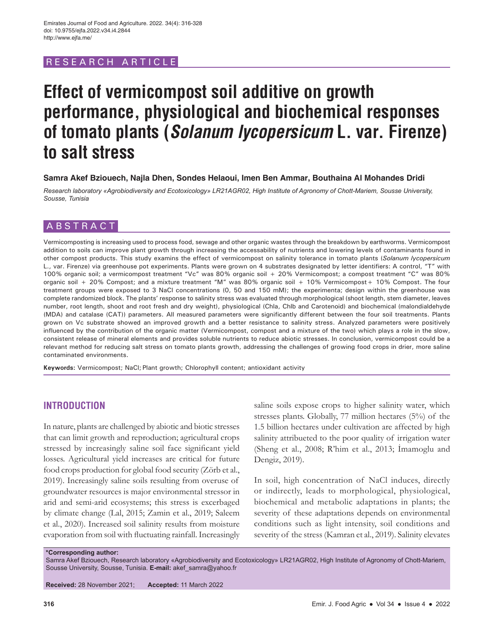# RESEARCH ARTICL

# **Effect of vermicompost soil additive on growth performance, physiological and biochemical responses of tomato plants (Solanum lycopersicum L. var. Firenze) to salt stress**

### **Samra Akef Bziouech, Najla Dhen, Sondes Helaoui, Imen Ben Ammar, Bouthaina Al Mohandes Dridi**

*Research laboratory «Agrobiodiversity and Ecotoxicology» LR21AGR02, High Institute of Agronomy of Chott-Mariem, Sousse University, Sousse, Tunisia*

# ABSTRACT

Vermicomposting is increasing used to process food, sewage and other organic wastes through the breakdown by earthworms. Vermicompost addition to soils can improve plant growth through increasing the accessability of nutrients and lowering levels of contaminants found in other compost products. This study examins the effect of vermicompost on salinity tolerance in tomato plants (*Solanum lycopersicum* L., var. Firenze) via greenhouse pot experiments. Plants were grown on 4 substrates designated by letter identifiers: A control, "T" with 100% organic soil; a vermicompost treatment "Vc" was 80% organic soil + 20% Vermicompost; a compost treatment "C" was 80% organic soil + 20% Compost; and a mixture treatment "M" was 80% organic soil + 10% Vermicompost+ 10% Compost. The four treatment groups were exposed to 3 NaCl concentrations (0, 50 and 150 mM); the experimenta; design within the greenhouse was complete randomized block. The plants' response to salinity stress was evaluated through morphological (shoot length, stem diameter, leaves number, root length, shoot and root fresh and dry weight), physiological (Chla, Chlb and Carotenoid) and biochemical (malondialdehyde (MDA) and catalase (CAT)) parameters. All measured parameters were significantly different between the four soil treatments. Plants grown on Vc substrate showed an improved growth and a better resistance to salinity stress. Analyzed parameters were positively influenced by the contribution of the organic matter (Vermicompost, compost and a mixture of the two) which plays a role in the slow, consistent release of mineral elements and provides soluble nutrients to reduce abiotic stresses. In conclusion, vermicompost could be a relevant method for reducing salt stress on tomato plants growth, addressing the challenges of growing food crops in drier, more saline contaminated environments.

**Keywords:** Vermicompost; NaCl; Plant growth; Chlorophyll content; antioxidant activity

# **INTRODUCTION**

In nature, plants are challenged by abiotic and biotic stresses that can limit growth and reproduction; agricultural crops stressed by increasingly saline soil face significant yield losses. Agricultural yield increases are critical for future food crops production for global food security (Zörb et al., 2019). Increasingly saline soils resulting from overuse of groundwater resources is major environmental stressor in arid and semi-arid ecosystems; this stress is excerbaged by climate change (Lal, 2015; Zamin et al., 2019; Saleem et al., 2020). Increased soil salinity results from moisture evaporation from soil with fluctuating rainfall. Increasingly

saline soils expose crops to higher salinity water, which stresses plants. Globally, 77 million hectares (5%) of the 1.5 billion hectares under cultivation are affected by high salinity attribueted to the poor quality of irrigation water (Sheng et al., 2008; R'him et al., 2013; İmamoglu and Dengiz, 2019).

In soil, high concentration of NaCl induces, directly or indirectly, leads to morphological, physiological, biochemical and metabolic adaptations in plants; the severity of these adaptations depends on environmental conditions such as light intensity, soil conditions and severity of the stress (Kamran et al., 2019). Salinity elevates

**\*Corresponding author:**

Samra Akef Bziouech, Research laboratory «Agrobiodiversity and Ecotoxicology» LR21AGR02, High Institute of Agronomy of Chott-Mariem, Sousse University, Sousse, Tunisia. **E-mail:** akef\_samra@yahoo.fr

**Received:** 28 November 2021; **Accepted:** 11 March 2022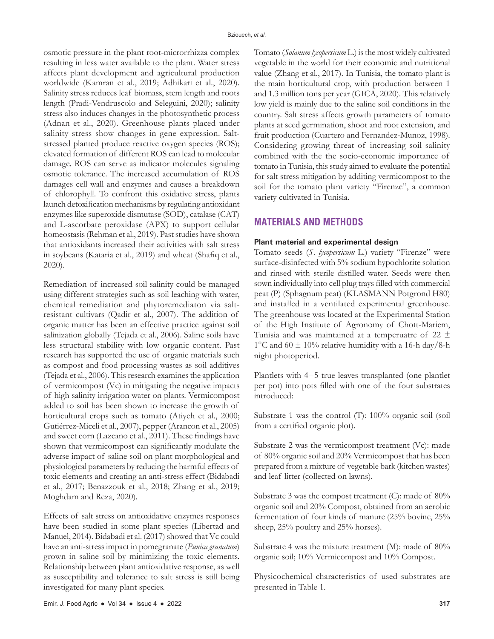osmotic pressure in the plant root-microrrhizza complex resulting in less water available to the plant. Water stress affects plant development and agricultural production worldwide (Kamran et al., 2019; Adhikari et al., 2020). Salinity stress reduces leaf biomass, stem length and roots length (Pradi-Vendruscolo and Seleguini, 2020); salinity stress also induces changes in the photosynthetic process (Adnan et al., 2020). Greenhouse plants placed under salinity stress show changes in gene expression. Saltstressed planted produce reactive oxygen species (ROS); elevated formation of different ROS can lead to molecular damage. ROS can serve as indicator molecules signaling osmotic tolerance. The increased accumulation of ROS damages cell wall and enzymes and causes a breakdown of chlorophyll. To confront this oxidative stress, plants launch detoxification mechanisms by regulating antioxidant enzymes like superoxide dismutase (SOD), catalase (CAT) and L-ascorbate peroxidase (APX) to support cellular homeostasis (Rehman et al., 2019). Past studies have shown that antioxidants increased their activities with salt stress in soybeans (Kataria et al., 2019) and wheat (Shafiq et al., 2020).

Remediation of increased soil salinity could be managed using different strategies such as soil leaching with water, chemical remediation and phytoremediaton via saltresistant cultivars (Qadir et al., 2007). The addition of organic matter has been an effective practice against soil salinization globally (Tejada et al., 2006). Saline soils have less structural stability with low organic content. Past research has supported the use of organic materials such as compost and food processing wastes as soil additives (Tejada et al., 2006). This research examines the application of vermicompost (Vc) in mitigating the negative impacts of high salinity irrigation water on plants. Vermicompost added to soil has been shown to increase the growth of horticultural crops such as tomato (Atiyeh et al., 2000; Gutiérrez-Miceli et al., 2007), pepper (Arancon et al., 2005) and sweet corn (Lazcano et al., 2011). These findings have shown that vermicompost can significantly modulate the adverse impact of saline soil on plant morphological and physiological parameters by reducing the harmful effects of toxic elements and creating an anti-stress effect (Bidabadi et al., 2017; Benazzouk et al., 2018; Zhang et al., 2019; Moghdam and Reza, 2020).

Effects of salt stress on antioxidative enzymes responses have been studied in some plant species (Libertad and Manuel, 2014). Bidabadi et al. (2017) showed that Vc could have an anti-stress impact in pomegranate (*Punica granatum*) grown in saline soil by minimizing the toxic elements. Relationship between plant antioxidative response, as well as susceptibility and tolerance to salt stress is still being investigated for many plant species.

Tomato (*Solanum lycopersicum* L.) is the most widely cultivated vegetable in the world for their economic and nutritional value (Zhang et al., 2017). In Tunisia, the tomato plant is the main horticultural crop, with production between 1 and 1.3 million tons per year (GICA, 2020). This relatively low yield is mainly due to the saline soil conditions in the country. Salt stress affects growth parameters of tomato plants at seed germination, shoot and root extension, and fruit production (Cuartero and Fernandez-Munoz, 1998). Considering growing threat of increasing soil salinity combined with the the socio-economic importance of tomato in Tunisia, this study aimed to evaluate the potential for salt stress mitigation by additing vermicompost to the soil for the tomato plant variety "Firenze", a common variety cultivated in Tunisia.

# **MATERIALS AND METHODS**

### **Plant material and experimental design**

Tomato seeds (*S. lycopersicum* L.) variety "Firenze" were surface-disinfected with 5% sodium hypochlorite solution and rinsed with sterile distilled water. Seeds were then sown individually into cell plug trays filled with commercial peat (P) (Sphagnum peat) (KLASMANN Potgrond H80) and installed in a ventilated experimental greenhouse. The greenhouse was located at the Experimental Station of the High Institute of Agronomy of Chott-Mariem, Tunisia and was maintained at a temperuatre of  $22 \pm$ 1°C and 60  $\pm$  10% relative humidity with a 16-h day/8-h night photoperiod.

Plantlets with 4−5 true leaves transplanted (one plantlet per pot) into pots filled with one of the four substrates introduced:

Substrate 1 was the control (T): 100% organic soil (soil from a certified organic plot).

Substrate 2 was the vermicompost treatment (Vc): made of 80% organic soil and 20% Vermicompost that has been prepared from a mixture of vegetable bark (kitchen wastes) and leaf litter (collected on lawns).

Substrate 3 was the compost treatment (C): made of 80% organic soil and 20% Compost, obtained from an aerobic fermentation of four kinds of manure (25% bovine, 25% sheep, 25% poultry and 25% horses).

Substrate 4 was the mixture treatment (M): made of 80% organic soil; 10% Vermicompost and 10% Compost.

Physicochemical characteristics of used substrates are presented in Table 1.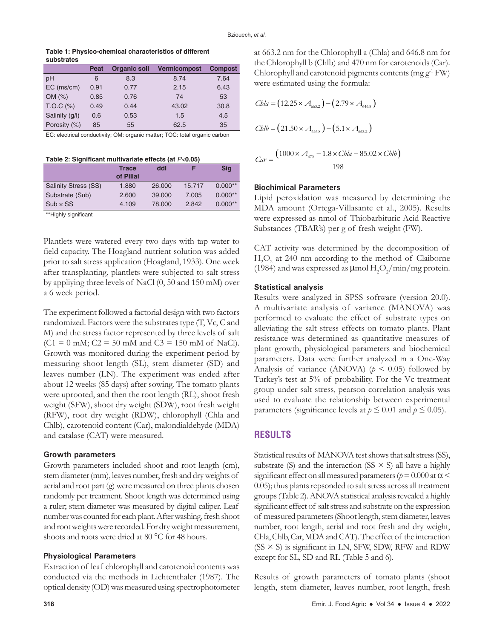**Table 1: Physico-chemical characteristics of different substrates**

|                | Peat | <b>Organic soil</b> | <b>Vermicompost</b> | <b>Compost</b> |
|----------------|------|---------------------|---------------------|----------------|
| pH             | 6    | 8.3                 | 8.74                | 7.64           |
| $EC$ (ms/cm)   | 0.91 | 0.77                | 2.15                | 6.43           |
| OM(%)          | 0.85 | 0.76                | 74                  | 53             |
| $T.O.C$ (%)    | 0.49 | 0.44                | 43.02               | 30.8           |
| Salinity (g/l) | 0.6  | 0.53                | 1.5                 | 4.5            |
| Porosity (%)   | 85   | 55                  | 62.5                | 35             |

EC: electrical conductivity; OM: organic matter; TOC: total organic carbon

**Table 2: Significant multivariate effects (at** *P<***0.05)**

|                             | <b>Trace</b><br>of Pillai | ddl    |        | Sig       |
|-----------------------------|---------------------------|--------|--------|-----------|
| <b>Salinity Stress (SS)</b> | 1.880                     | 26,000 | 15.717 | $0.000**$ |
| Substrate (Sub)             | 2.600                     | 39,000 | 7.005  | $0.000**$ |
| $Sub \times SS$             | 4.109                     | 78,000 | 2.842  | $0.000**$ |

\*\*Highly significant

Plantlets were watered every two days with tap water to field capacity. The Hoagland nutrient solution was added prior to salt stress application (Hoagland, 1933). One week after transplanting, plantlets were subjected to salt stress by appliying three levels of NaCl (0, 50 and 150 mM) over a 6 week period.

The experiment followed a factorial design with two factors randomized. Factors were the substrates type (T, Vc, C and M) and the stress factor represented by three levels of salt  $(C1 = 0$  mM;  $C2 = 50$  mM and  $C3 = 150$  mM of NaCl). Growth was monitored during the experiment period by measuring shoot length (SL), stem diameter (SD) and leaves number (LN). The experiment was ended after about 12 weeks (85 days) after sowing. The tomato plants were uprooted, and then the root length (RL), shoot fresh weight (SFW), shoot dry weight (SDW), root fresh weight (RFW), root dry weight (RDW), chlorophyll (Chla and Chlb), carotenoid content (Car), malondialdehyde (MDA) and catalase (CAT) were measured.

### **Growth parameters**

Growth parameters included shoot and root length (cm), stem diameter (mm), leaves number, fresh and dry weights of aerial and root part (g) were measured on three plants chosen randomly per treatment. Shoot length was determined using a ruler; stem diameter was measured by digital caliper. Leaf number was counted for each plant. After washing, fresh shoot and root weights were recorded. For dry weight measurement, shoots and roots were dried at 80 °C for 48 hours.

#### **Physiological Parameters**

Extraction of leaf chlorophyll and carotenoid contents was conducted via the methods in Lichtenthaler (1987). The optical density (OD) was measured using spectrophotometer at 663.2 nm for the Chlorophyll a (Chla) and 646.8 nm for the Chlorophyll b (Chlb) and 470 nm for carotenoids (Car). Chlorophyll and carotenoid pigments contents (mg  $g^{-1}$  FW) were estimated using the formula:

\n
$$
Chla = (12.25 \times A_{663.2}) - (2.79 \times A_{646.8})
$$
\n

\n\n
$$
Chlb = (21.50 \times A_{646.8}) - (5.1 \times A_{663.2})
$$
\n

\n\n
$$
Car = \frac{(1000 \times A_{470} - 1.8 \times Chla - 85.02 \times Chlb)}{2.25}
$$
\n

198

#### **Biochimical Parameters**

Lipid peroxidation was measured by determining the MDA amount (Ortega-Villasante et al., 2005). Results were expressed as nmol of Thiobarbituric Acid Reactive Substances (TBAR's) per g of fresh weight (FW).

CAT activity was determined by the decomposition of  $H_2O_2$  at 240 nm according to the method of Claiborne (1984) and was expressed as  $\mu$ mol  $H_2O_2/m$ in/mg protein.

#### **Statistical analysis**

Results were analyzed in SPSS software (version 20.0). A multivariate analysis of variance (MANOVA) was performed to evaluate the effect of substrate types on alleviating the salt stress effects on tomato plants. Plant resistance was determined as quantitative measures of plant growth, physiological parameters and biochemical parameters. Data were further analyzed in a One-Way Analysis of variance (ANOVA) ( $p < 0.05$ ) followed by Turkey's test at 5% of probability. For the Vc treatment group under salt stress, pearson correlation analysis was used to evaluate the relationship between experimental parameters (significance levels at  $p \le 0.01$  and  $p \le 0.05$ ).

# **RESULTS**

Statistical results of MANOVA test shows that salt stress (SS), substrate (S) and the interaction (SS  $\times$  S) all have a highly significant effect on all measured parameters ( $p = 0.000$  at  $\alpha$  < 0.05); thus plants repsonded to salt stress across all treatment groups (Table 2). ANOVA statistical analysis revealed a highly significant effect of salt stress and substrate on the expression of measured parameters (Shoot length, stem diameter, leaves number, root length, aerial and root fresh and dry weight, Chla, Chlb, Car, MDA and CAT). The effect of the interaction  $(SS \times S)$  is significant in LN, SFW, SDW, RFW and RDW except for SL, SD and RL (Table 5 and 6).

Results of growth parameters of tomato plants (shoot length, stem diameter, leaves number, root length, fresh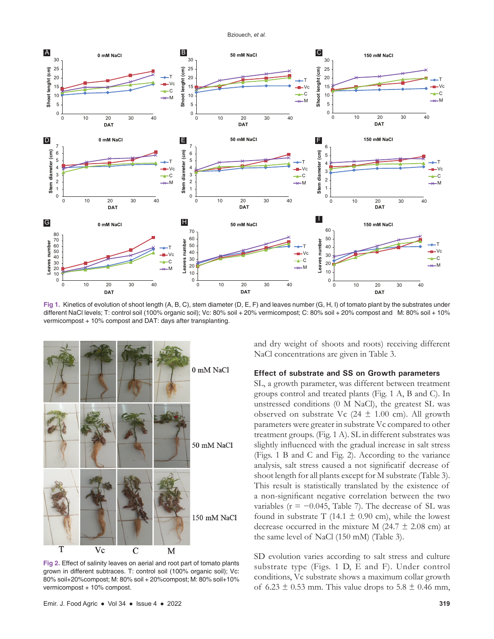Bziouech, *et al.*



**Fig 1.** Kinetics of evolution of shoot length (A, B, C), stem diameter (D, E, F) and leaves number (G, H, I) of tomato plant by the substrates under different NaCl levels; T: control soil (100% organic soil); Vc: 80% soil + 20% vermicompost; C: 80% soil + 20% compost and M: 80% soil + 10% vermicompost + 10% compost and DAT: days after transplanting.



**Fig 2.** Effect of salinity leaves on aerial and root part of tomato plants grown in different subtraces. T: control soil (100% organic soil); Vc: 80% soil+20%compost; M: 80% soil + 20%compost; M: 80% soil+10% vermicompost + 10% compost.

and dry weight of shoots and roots) receiving different NaCl concentrations are given in Table 3.

# **Effect of substrate and SS on Growth parameters**

SL, a growth parameter, was different between treatment groups control and treated plants (Fig. 1 A, B and C). In unstressed conditions (0 M NaCl), the greatest SL was observed on substrate Vc  $(24 \pm 1.00 \text{ cm})$ . All growth parameters were greater in substrate Vc compared to other treatment groups. (Fig. 1 A). SL in different substrates was slightly influenced with the gradual increase in salt stress (Figs. 1 B and C and Fig. 2). According to the variance analysis, salt stress caused a not significatif decrease of shoot length for all plants except for M substrate (Table 3). This result is statistically translated by the existence of a non-significant negative correlation between the two variables ( $r = -0.045$ , Table 7). The decrease of SL was found in substrate T (14.1  $\pm$  0.90 cm), while the lowest decrease occurred in the mixture M (24.7  $\pm$  2.08 cm) at the same level of NaCl (150 mM) (Table 3).

SD evolution varies according to salt stress and culture substrate type (Figs. 1 D, E and F). Under control conditions, Vc substrate shows a maximum collar growth of 6.23  $\pm$  0.53 mm. This value drops to 5.8  $\pm$  0.46 mm,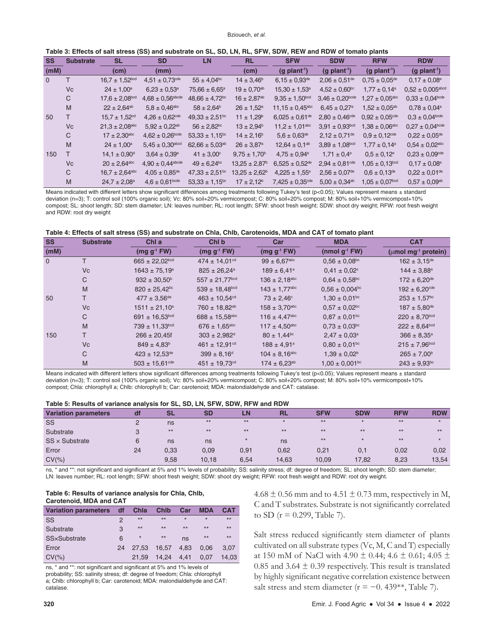| Table 3: Effects of salt stress (SS) and substrate on SL, SD, LN, RL, SFW, SDW, REW and RDW of tomato plants |  |  |  |
|--------------------------------------------------------------------------------------------------------------|--|--|--|
|--------------------------------------------------------------------------------------------------------------|--|--|--|

| <b>SS</b>    | <b>Substrate</b> | <b>SL</b>                      | <b>SD</b>                        | <b>LN</b>                      | <b>RL</b>                | <b>SFW</b>                      | <b>SDW</b>                    | <b>RFW</b>                    | <b>RDW</b>                     |
|--------------|------------------|--------------------------------|----------------------------------|--------------------------------|--------------------------|---------------------------------|-------------------------------|-------------------------------|--------------------------------|
| (mM)         |                  | (cm)                           | (mm)                             |                                | (cm)                     | $(g$ plant <sup>1</sup> )       | $(g$ plant <sup>-1</sup> )    | $(g$ plant <sup>1</sup> )     | $(g$ plant <sup>-1</sup> )     |
| $\mathbf{0}$ | т                | $16.7 \pm 1.52^{bcd}$          | $4.51 \pm 0.73^{\text{ode}}$     | $55 \pm 4.04$ <sup>bc</sup>    | $14 \pm 3.46^{\circ}$    | $6.15 \pm 0.93^{\text{de}}$     | $2.06 \pm 0.51^{\text{de}}$   | $0.75 \pm 0.05^{\text{de}}$   | $0.17 \pm 0.08^{\circ}$        |
|              | <b>Vc</b>        | $24 \pm 1.00^a$                | $6.23 \pm 0.53$ <sup>a</sup>     | $75,66 \pm 6,65^a$             | $19 \pm 0.70^{ab}$       | $15,30 \pm 1,53^a$              | $4,52 \pm 0,60^{\circ}$       | $1.77 \pm 0.14^a$             | $0,52 \pm 0,005^{\rm abcd}$    |
|              | С                | $17.6 \pm 2.08^{bcd}$          | $4.68 \pm 0.56^{\text{abcde}}$   | $48,66 \pm 4,72$ <sup>bc</sup> | $16 \pm 2,87^{ab}$       | $9.35 \pm 1.50^{bcd}$           | $3.46 \pm 0.20$ bcde          | $1.27 \pm 0.05^{\rm abc}$     | $0.33 \pm 0.04^{\text{bcde}}$  |
|              | M                | $22 \pm 2.64^{ab}$             | $5.8 \pm 0.46^{\rm abc}$         | $58 \pm 2.64^{\circ}$          | $26 \pm 1.52^a$          | $11.15 \pm 0.45$ <sup>abc</sup> | $6.45 \pm 0.27$ <sup>a</sup>  | $1,52 \pm 0.05^{ab}$          | $0.78 \pm 0.04^a$              |
| 50           |                  | $15.7 \pm 1.52$ <sup>cd</sup>  | $4,26 \pm 0,62^{\text{ode}}$     | $49.33 \pm 2.51$ <sup>bc</sup> | $11 \pm 1.29^b$          | $6.025 \pm 0.61$ <sup>de</sup>  | $2,80 \pm 0,46^{\text{cde}}$  | $0.92 \pm 0.05^{\text{cde}}$  | $0.3 \pm 0.04^{\text{bcde}}$   |
|              | <b>Vc</b>        | $21.3 \pm 2.08$ <sup>abc</sup> | $5.92 \pm 0.22$ <sup>ab</sup>    | $56 \pm 2.82$ <sup>bc</sup>    | $13 \pm 2.94^{\circ}$    | $11.2 \pm 1.01$ <sup>abc</sup>  | $3.91 \pm 0.93^{bcd}$         | $1,38 \pm 0,06^{\rm abc}$     | $0.27 \pm 0.04^{\text{bcde}}$  |
|              | С                | $17 \pm 2,30^{abc}$            | $4,62 \pm 0,26^{bcde}$           | $53,33 \pm 1,15^{bc}$          | $14 \pm 2.16^b$          | $5.6 \pm 0.63^{\text{de}}$      | $2,12 \pm 0.71^{\text{de}}$   | $0.9 \pm 0.12$ <sup>cde</sup> | $0.22 \pm 0.05^{\text{de}}$    |
|              | M                | $24 \pm 1,00^a$                | $5.45 \pm 0.30$ <sup>abcd</sup>  | $62,66 \pm 5,03^{ab}$          | $26 \pm 3.87^{\rm a}$    | $12,64 \pm 0.1^{ab}$            | $3.89 \pm 1.08^{bcd}$         | $1.77 \pm 0.14$ <sup>a</sup>  | $0.54 \pm 0.02$ <sup>abc</sup> |
| 150          | т                | $14.1 \pm 0.90^{\circ}$        | $3.64 \pm 0.39^{\circ}$          | $41 \pm 3,00^{\circ}$          | $9.75 \pm 1.70^{\circ}$  | $4.75 \pm 0.94$ <sup>e</sup>    | $1.71 \pm 0.4^e$              | $0.5 \pm 0.12^e$              | $0.23 \pm 0.09$ <sup>cde</sup> |
|              | <b>Vc</b>        | $20 \pm 2,64^{abc}$            | $4.90 \pm 0.44$ <sup>abcde</sup> | $49 \pm 6.24$ <sup>bc</sup>    | $13.25 \pm 2.87^{\circ}$ | $6.525 \pm 0.52$ <sup>de</sup>  | $2.94 \pm 0.81^{\text{cde}}$  | $1.05 \pm 0.13^{bcd}$         | $0.17 \pm 0.08^{\circ}$        |
|              | С                | $16.7 \pm 2.64$ <sup>abc</sup> | $4.05 \pm 0.85^{\text{de}}$      | $47.33 \pm 2.51$ <sup>bc</sup> | $13.25 \pm 2.62^b$       | $4.225 \pm 1.55^{\circ}$        | $2.56 \pm 0.07$ <sup>de</sup> | $0.6 \pm 0.13^{\text{de}}$    | $0.22 \pm 0.01$ <sup>de</sup>  |
|              | M                | $24.7 \pm 2.08^a$              | $4.6 \pm 0.61$ <sub>bcde</sub>   | $53.33 \pm 1.15^{bc}$          | $17 \pm 2.12^b$          | $7,425 \pm 0,35^{\text{cde}}$   | $5.00 \pm 0.34$ <sup>ab</sup> | $1.05 \pm 0.07^{bcd}$         | $0.57 \pm 0.09^{ab}$           |

Means indicated with different letters show significant differences among treatments following Tukey's test (p<0.05); Values represent means  $\pm$  standard deviation (n=3); T: control soil (100% organic soil); Vc: 80% soil+20% vermicompost; C: 80% soil+20% compost; M: 80% soil+10% vermicompost+10% compost; SL: shoot length; SD: stem diameter; LN: leaves number; RL: root length; SFW: shoot fresh weight; SDW: shoot dry weight; RFW: root fresh weight and RDW: root dry weight

| <b>SS</b>      | <b>Substrate</b> | Chl a                          | Chl b                          | Car                           | <b>MDA</b>                     | <b>CAT</b>                            |
|----------------|------------------|--------------------------------|--------------------------------|-------------------------------|--------------------------------|---------------------------------------|
| (mM)           |                  | $(mg g-1 FW)$                  | $(mg g-1 FW)$                  | $(mg g-1 FW)$                 | (nmol $q^{-1}$ FW)             | ( $\mu$ mol mg <sup>-1</sup> protein) |
| $\overline{0}$ | T                | $665 \pm 22,02^{bcd}$          | $474 \pm 14.01$ <sup>cd</sup>  | $99 \pm 6.67$ <sup>abc</sup>  | $0.56 \pm 0.08$ <sup>bc</sup>  | $162 \pm 3.15^{\text{de}}$            |
|                | Vc               | $1643 \pm 75.19^a$             | $825 \pm 26.24$ <sup>a</sup>   | $189 \pm 6.41$ <sup>a</sup>   | $0.41 \pm 0.02$ <sup>c</sup>   | $144 \pm 3.88^{\circ}$                |
|                | С                | $932 \pm 30.50^{\circ}$        | $557 \pm 21,77^{bcd}$          | $136 \pm 2,18^{abc}$          | $0.64 \pm 0.58$ <sup>bc</sup>  | $172 \pm 6,20^{\rm de}$               |
|                | M                | $820 \pm 25,42^{bc}$           | $539 \pm 18.48$ <sub>bcd</sub> | $143 \pm 1,77$ <sup>abc</sup> | $0.56 \pm 0.004$ bc            | $192 \pm 6,20^{\text{cde}}$           |
| 50             |                  | $477 \pm 3.56$ <sup>de</sup>   | $463 \pm 10.54$ <sup>cd</sup>  | $73 \pm 2.46^{\circ}$         | $1.30 \pm 0.01^{bc}$           | $253 \pm 1.57$ <sup>bc</sup>          |
|                | Vc               | $1511 \pm 21,10^a$             | $760 \pm 18,82^{ab}$           | $158 \pm 3,70^{abc}$          | $0.57 \pm 0.02$ <sup>bc</sup>  | $187 \pm 5.80^{\rm de}$               |
|                | C                | $691 \pm 16.53$ bcd            | $688 \pm 15.58$ <sup>abc</sup> | $116 \pm 4.47$ <sup>abc</sup> | $0.87 \pm 0.01^{bc}$           | $220 \pm 8.70^{bcd}$                  |
|                | M                | $739 \pm 11,33^{bcd}$          | $676 \pm 1.65$ <sup>abc</sup>  | $117 \pm 4.50$ <sup>abc</sup> | $0.73 \pm 0.03$ <sup>bc</sup>  | $222 \pm 8.64^{bcd}$                  |
| 150            |                  | $266 \pm 20,45f$               | $303 \pm 2.982$ <sup>d</sup>   | $80 \pm 1,44$ <sup>bc</sup>   | $2.47 \pm 0.03$ <sup>a</sup>   | $366 \pm 8.35^a$                      |
|                | Vc               | $849 \pm 4.83^b$               | $461 \pm 12.91$ <sup>cd</sup>  | $188 \pm 4.91^a$              | $0.80 \pm 0.01^{bc}$           | $215 \pm 7.96^{bcd}$                  |
|                | C                | $423 \pm 12.53^{\text{de}}$    | $399 \pm 8.16$ <sup>d</sup>    | $104 \pm 8.16^{\rm abc}$      | $1.39 \pm 0.02^b$              | $265 \pm 7.00^{\circ}$                |
|                | M                | $503 \pm 15,61$ <sup>cde</sup> | $451 \pm 19.73$ <sup>cd</sup>  | $174 \pm 6.23^{ab}$           | $1.00 \pm 0.001$ <sup>bc</sup> | $243 \pm 9.93$ bc                     |

Means indicated with different letters show significant differences among treatments following Tukey's test (p<0.05); Values represent means  $\pm$  standard deviation (n=3); T: control soil (100% organic soil); Vc: 80% soil+20% vermicompost; C: 80% soil+20% compost; M: 80% soil+10% vermicompost+10% compost; Chla: chlorophyll a; Chlb: chlorophyll b; Car: carotenoid; MDA: malondialdehyde and CAT: catalase.

#### **Table 5: Results of variance analysis for SL, SD, LN, SFW, SDW, RFW and RDW**

| <b>Variation parameters</b> | df | <b>SL</b> | SD    | LΝ    | <b>RL</b> | <b>SFW</b> | <b>SDW</b> | <b>RFW</b> | <b>RDW</b> |
|-----------------------------|----|-----------|-------|-------|-----------|------------|------------|------------|------------|
| <b>SS</b>                   |    | ns        | $***$ | $***$ | $\star$   | $***$      |            | $***$      |            |
| Substrate                   |    | $***$     | $***$ | $***$ | $***$     | $***$      | $***$      | $***$      | $***$      |
| $SS \times Substrate$       |    | ns        | ns    |       | ns        | $***$      | $\star$    | $***$      |            |
| Error                       | 24 | 0,33      | 0,09  | 0,91  | 0,62      | 0,21       | 0,1        | 0,02       | 0,02       |
| $CV(\% )$                   |    | 9,58      | 10.18 | 6,54  | 14,63     | 10.09      | 17,82      | 8,23       | 13,54      |

ns, \* and \*\*: not significant and significant at 5% and 1% levels of probability; SS: salinity stress; df: degree of freedom; SL: shoot length; SD: stem diameter; LN: leaves number; RL: root length; SFW: shoot fresh weight; SDW: shoot dry weight; RFW: root fresh weight and RDW: root dry weight.

#### **Table 6: Results of variance analysis for Chla, Chlb, Carotenoid, MDA and CAT**

| <b>Variation parameters</b> | df            | Chla    | <b>Chlb</b> | Car     | <b>MDA</b> | <b>CAT</b> |  |  |  |  |  |  |
|-----------------------------|---------------|---------|-------------|---------|------------|------------|--|--|--|--|--|--|
| SS                          | $\mathcal{P}$ | $**$    | $**$        | $\star$ | $\star$    | $**$       |  |  |  |  |  |  |
| Substrate                   | 3             | $**$    | $**$        | $**$    | $***$      | $**$       |  |  |  |  |  |  |
| <b>SS</b> ×Substrate        | 6             | $\star$ | $***$       | ns      | $***$      | $**$       |  |  |  |  |  |  |
| Error                       | 24            | 27.53   | 16.57       | 4.83    | 0.06       | 3.07       |  |  |  |  |  |  |
| $CV(\% )$                   |               | 21.59   | 14.24       | 4.41    | 0.07       | 14.03      |  |  |  |  |  |  |
|                             |               |         |             |         |            |            |  |  |  |  |  |  |

ns, \* and \*\*: not significant and significant at 5% and 1% levels of probability; SS: salinity stress; df: degree of freedom; Chla: chlorophyll a; Chlb: chlorophyll b; Car: carotenoid; MDA: malondialdehyde and CAT: catalase.

4.68  $\pm$  0.56 mm and to 4.51  $\pm$  0.73 mm, respectively in M, C and T substrates. Substrate is not significantly correlated to SD ( $r = 0.299$ , Table 7).

Salt stress reduced significantly stem diameter of plants cultivated on all substrate types (Vc, M, C and T) especially at 150 mM of NaCl with 4.90  $\pm$  0.44; 4.6  $\pm$  0.61; 4.05  $\pm$ 0.85 and 3.64  $\pm$  0.39 respectively. This result is translated by highly significant negative correlation existence between salt stress and stem diameter ( $r = -0.439**$ , Table 7).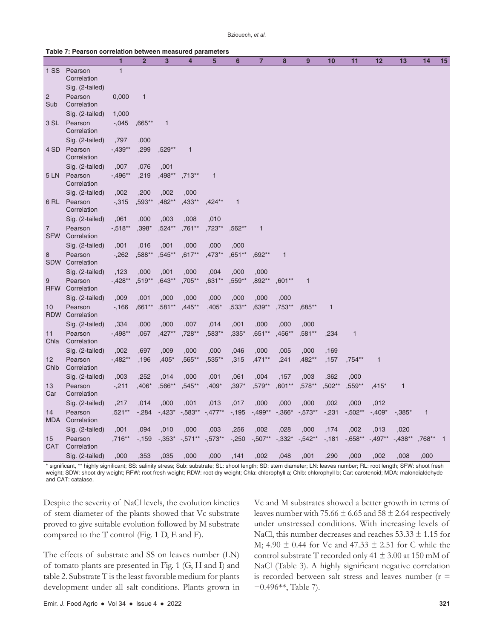#### **Table 7: Pearson correlation between measured parameters**

|                              |                        | $\mathbf{1}$ | $\overline{2}$ | $\overline{3}$ | $\overline{\mathbf{4}}$ | 5            | 6            | 7            | 8            | 9            | 10           | 11           | 12           | 13           | 14           | 15             |
|------------------------------|------------------------|--------------|----------------|----------------|-------------------------|--------------|--------------|--------------|--------------|--------------|--------------|--------------|--------------|--------------|--------------|----------------|
| 1 SS                         | Pearson<br>Correlation | $\mathbf{1}$ |                |                |                         |              |              |              |              |              |              |              |              |              |              |                |
|                              | Sig. (2-tailed)        |              |                |                |                         |              |              |              |              |              |              |              |              |              |              |                |
| 2<br>Sub                     | Pearson<br>Correlation | 0,000        | $\mathbf{1}$   |                |                         |              |              |              |              |              |              |              |              |              |              |                |
|                              | Sig. (2-tailed)        | 1,000        |                |                |                         |              |              |              |              |              |              |              |              |              |              |                |
| 3 SL                         | Pearson<br>Correlation | $-0.045$     | $,665***$      | $\mathbf{1}$   |                         |              |              |              |              |              |              |              |              |              |              |                |
|                              | Sig. (2-tailed)        | ,797         | ,000           |                |                         |              |              |              |              |              |              |              |              |              |              |                |
| 4 SD                         | Pearson<br>Correlation | $-0.439**$   | ,299           | ,529**         | $\mathbf 1$             |              |              |              |              |              |              |              |              |              |              |                |
|                              | Sig. (2-tailed)        | ,007         | ,076           | ,001           |                         |              |              |              |              |              |              |              |              |              |              |                |
| 5 LN                         | Pearson<br>Correlation | $-0.496**$   | ,219           | ,498**         | ,713**                  | $\mathbf{1}$ |              |              |              |              |              |              |              |              |              |                |
|                              | Sig. (2-tailed)        | ,002         | ,200           | ,002           | ,000                    |              |              |              |              |              |              |              |              |              |              |                |
| 6 RL                         | Pearson<br>Correlation | $-0.315$     | ,593**         | ,482**         | ,433**                  | $,424**$     | $\mathbf{1}$ |              |              |              |              |              |              |              |              |                |
|                              | Sig. (2-tailed)        | ,061         | ,000           | ,003           | ,008                    | ,010         |              |              |              |              |              |              |              |              |              |                |
| $\overline{7}$<br><b>SFW</b> | Pearson<br>Correlation | $-518**$     | ,398*          | ,524**         | ,761**                  | ,723**       | ,562**       | $\mathbf{1}$ |              |              |              |              |              |              |              |                |
|                              | Sig. (2-tailed)        | ,001         | ,016           | ,001           | ,000                    | ,000         | ,000         |              |              |              |              |              |              |              |              |                |
| 8<br>SDW                     | Pearson<br>Correlation | $-262$       | ,588**         | ,545**         | $,617**$                | ,473**       | $,651**$     | ,692**       | $\mathbf{1}$ |              |              |              |              |              |              |                |
|                              | Sig. (2-tailed)        | ,123         | ,000           | ,001           | ,000                    | ,004         | ,000         | ,000         |              |              |              |              |              |              |              |                |
| 9<br><b>RFW</b>              | Pearson<br>Correlation | $-428**$     | ,519**         | ,643**         | ,705**                  | $,631**$     | ,559**       | ,892**       | $,601**$     | $\mathbf{1}$ |              |              |              |              |              |                |
|                              | Sig. (2-tailed)        | ,009         | ,001           | ,000           | ,000                    | ,000         | ,000         | ,000         | ,000         |              |              |              |              |              |              |                |
| 10<br><b>RDW</b>             | Pearson<br>Correlation | $-166$       | ,661**         | ,581**         | ,445**                  | ,405*        | ,533**       | ,639**       | ,753**       | ,685**       | $\mathbf{1}$ |              |              |              |              |                |
|                              | Sig. (2-tailed)        | ,334         | ,000           | ,000           | ,007                    | ,014         | ,001         | ,000         | ,000         | ,000         |              |              |              |              |              |                |
| 11<br>Chla                   | Pearson<br>Correlation | $-0.498**$   | ,067           | ,427**         | ,728**                  | ,583**       | ,335*        | ,651**       | ,456**       | ,581**       | ,234         | $\mathbf{1}$ |              |              |              |                |
|                              | Sig. (2-tailed)        | ,002         | ,697           | ,009           | ,000                    | ,000         | ,046         | ,000         | ,005         | ,000         | ,169         |              |              |              |              |                |
| 12<br>Chlb                   | Pearson<br>Correlation | $-0.482**$   | ,196           | $,405*$        | ,565**                  | ,535**       | ,315         | ,471**       | ,241         | ,482**       | ,157         | ,754**       | $\mathbf{1}$ |              |              |                |
|                              | Sig. (2-tailed)        | ,003         | ,252           | ,014           | ,000                    | ,001         | ,061         | ,004         | ,157         | ,003         | ,362         | ,000         |              |              |              |                |
| 13<br>Car                    | Pearson<br>Correlation | $-211$       | $,406*$        | ,566**         | ,545**                  | ,409*        | $,397*$      | ,579**       | ,601**       | ,578**       | ,502**       | ,559**       | ,415*        | $\mathbf{1}$ |              |                |
|                              | Sig. (2-tailed)        | ,217         | ,014           | ,000           | ,001                    | ,013         | ,017         | ,000         | ,000         | ,000         | ,002         | ,000         | ,012         |              |              |                |
| 14<br><b>MDA</b>             | Pearson<br>Correlation | ,521**       | $-284$         | $-.423*$       | $-583**$                | $-477**$     | $-195$       | $-.499**$    | $-0.366'$    | $-0.573**$   | $-231$       | $-502**$     | $-.409*$     | $-0.385*$    | $\mathbf{1}$ |                |
|                              | Sig. (2-tailed)        | ,001         | ,094           | ,010           | ,000                    | ,003         | ,256         | ,002         | ,028         | ,000         | ,174         | ,002         | ,013         | ,020         |              |                |
| 15<br><b>CAT</b>             | Pearson<br>Correlation | .716**       | $-159$         | $-0.353*$      | $-0.571**$              | $-573**$     | $-250$       | $-0.507**$   | $-332*$      | $-542**$     | $-181$       | $-0.658**$   | $-.497**$    | $-.438**$    | .768**       | $\overline{1}$ |
|                              | Sig. (2-tailed)        | ,000         | ,353           | ,035           | ,000                    | ,000         | ,141         | ,002         | ,048         | ,001         | ,290         | ,000         | ,002         | ,008         | ,000         |                |

\* significant, \*\* highly significant; SS: salinity stress; Sub: substrate; SL: shoot length; SD: stem diameter; LN: leaves number; RL: root length; SFW: shoot fresh weight; SDW: shoot dry weight; RFW: root fresh weight; RDW: root dry weight; Chla: chlorophyll a; Chlb: chlorophyll b; Car: carotenoid; MDA: malondialdehyde and CAT: catalase.

Despite the severity of NaCl levels, the evolution kinetics of stem diameter of the plants showed that Vc substrate proved to give suitable evolution followed by M substrate compared to the T control (Fig. 1 D, E and F).

The effects of substrate and SS on leaves number (LN) of tomato plants are presented in Fig. 1 (G, H and I) and table 2. Substrate T is the least favorable medium for plants development under all salt conditions. Plants grown in Vc and M substrates showed a better growth in terms of leaves number with 75.66  $\pm$  6.65 and 58  $\pm$  2.64 respectively under unstressed conditions. With increasing levels of NaCl, this number decreases and reaches  $53.33 \pm 1.15$  for M; 4.90  $\pm$  0.44 for Vc and 47.33  $\pm$  2.51 for C while the control substrate T recorded only 41 ± 3.00 at 150 mM of NaCl (Table 3). A highly significant negative correlation is recorded between salt stress and leaves number  $(r =$ −0.496\*\*, Table 7).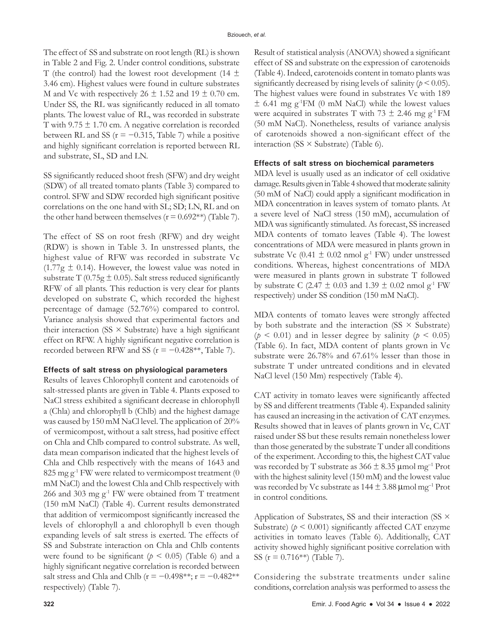The effect of SS and substrate on root length (RL) is shown in Table 2 and Fig. 2. Under control conditions, substrate T (the control) had the lowest root development (14  $\pm$ 3.46 cm). Highest values were found in culture substrates M and Vc with respectively  $26 \pm 1.52$  and  $19 \pm 0.70$  cm. Under SS, the RL was significantly reduced in all tomato plants. The lowest value of RL, was recorded in substrate T with  $9.75 \pm 1.70$  cm. A negative correlation is recorded between RL and SS ( $r = -0.315$ , Table 7) while a positive and highly significant correlation is reported between RL and substrate, SL, SD and LN.

SS significantly reduced shoot fresh (SFW) and dry weight (SDW) of all treated tomato plants (Table 3) compared to control. SFW and SDW recorded high significant positive correlations on the one hand with SL; SD; LN, RL and on the other hand between themselves ( $r = 0.692**$ ) (Table 7).

The effect of SS on root fresh (RFW) and dry weight (RDW) is shown in Table 3. In unstressed plants, the highest value of RFW was recorded in substrate Vc  $(1.77g \pm 0.14)$ . However, the lowest value was noted in substrate T (0.75g  $\pm$  0.05). Salt stress reduced significantly RFW of all plants. This reduction is very clear for plants developed on substrate C, which recorded the highest percentage of damage (52.76%) compared to control. Variance analysis showed that experimental factors and their interaction (SS  $\times$  Substrate) have a high significant effect on RFW. A highly significant negative correlation is recorded between RFW and SS ( $r = -0.428**$ , Table 7).

### **Effects of salt stress on physiological parameters**

Results of leaves Chlorophyll content and carotenoids of salt-stressed plants are given in Table 4. Plants exposed to NaCl stress exhibited a significant decrease in chlorophyll a (Chla) and chlorophyll b (Chlb) and the highest damage was caused by 150 mM NaCl level. The application of 20% of vermicompost, without a salt stress, had positive effect on Chla and Chlb compared to control substrate. As well, data mean comparison indicated that the highest levels of Chla and Chlb respectively with the means of 1643 and 825 mg  $g^{-1}$  FW were related to vermicompost treatment (0) mM NaCl) and the lowest Chla and Chlb respectively with 266 and 303 mg  $g^{-1}$  FW were obtained from T treatment (150 mM NaCl) (Table 4). Current results demonstrated that addition of vermicompost significantly increased the levels of chlorophyll a and chlorophyll b even though expanding levels of salt stress is exerted. The effects of SS and Substrate interaction on Chla and Chlb contents were found to be significant ( $p < 0.05$ ) (Table 6) and a highly significant negative correlation is recorded between salt stress and Chla and Chlb ( $r = -0.498**; r = -0.482**$ respectively) (Table 7).

Result of statistical analysis (ANOVA) showed a significant effect of SS and substrate on the expression of carotenoids (Table 4). Indeed, carotenoids content in tomato plants was significantly decreased by rising levels of salinity  $(p < 0.05)$ . The highest values were found in substrates Vc with 189  $\pm$  6.41 mg g<sup>-1</sup>FM (0 mM NaCl) while the lowest values were acquired in substrates T with 73  $\pm$  2.46 mg g<sup>-1</sup> FM (50 mM NaCl). Nonetheless, results of variance analysis of carotenoids showed a non-significant effect of the interaction (SS  $\times$  Substrate) (Table 6).

# **Effects of salt stress on biochemical parameters**

MDA level is usually used as an indicator of cell oxidative damage. Results given in Table 4 showed that moderate salinity (50 mM of NaCl) could apply a significant modification in MDA concentration in leaves system of tomato plants. At a severe level of NaCl stress (150 mM), accumulation of MDA was significantly stimulated. As forecast, SS increased MDA contents of tomato leaves (Table 4). The lowest concentrations of MDA were measured in plants grown in substrate Vc (0.41  $\pm$  0.02 nmol g<sup>-1</sup> FW) under unstressed conditions. Whereas, highest concentrations of MDA were measured in plants grown in substrate T followed by substrate C (2.47  $\pm$  0.03 and 1.39  $\pm$  0.02 nmol g<sup>-1</sup> FW respectively) under SS condition (150 mM NaCl).

MDA contents of tomato leaves were strongly affected by both substrate and the interaction (SS  $\times$  Substrate) ( $p < 0.01$ ) and in lesser degree by salinity ( $p < 0.05$ ) (Table 6). In fact, MDA content of plants grown in Vc substrate were 26.78% and 67.61% lesser than those in substrate T under untreated conditions and in elevated NaCl level (150 Mm) respectively (Table 4).

CAT activity in tomato leaves were significantly affected by SS and different treatments (Table 4). Expanded salinity has caused an increasing in the activation of CAT enzymes. Results showed that in leaves of plants grown in Vc, CAT raised under SS but these results remain nonetheless lower than those generated by the substrate T under all conditions of the experiment. According to this, the highest CAT value was recorded by T substrate as  $366 \pm 8.35$  µmol mg<sup>-1</sup> Prot with the highest salinity level (150 mM) and the lowest value was recorded by Vc substrate as  $144 \pm 3.88$  µmol mg<sup>-1</sup> Prot in control conditions.

Application of Substrates, SS and their interaction (SS × Substrate) ( $p < 0.001$ ) significantly affected CAT enzyme activities in tomato leaves (Table 6). Additionally, CAT activity showed highly significant positive correlation with SS ( $r = 0.716$ \*\*) (Table 7).

Considering the substrate treatments under saline conditions, correlation analysis was performed to assess the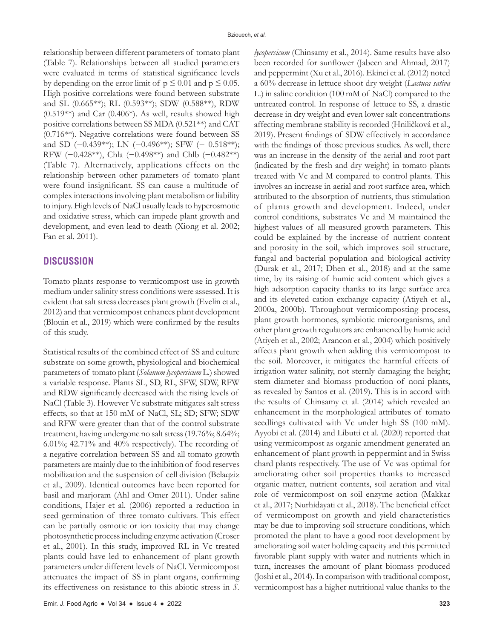relationship between different parameters of tomato plant (Table 7). Relationships between all studied parameters were evaluated in terms of statistical significance levels by depending on the error limit of  $p \le 0.01$  and  $p \le 0.05$ . High positive correlations were found between substrate and SL (0.665\*\*); RL (0.593\*\*); SDW (0.588\*\*), RDW  $(0.519**)$  and Car  $(0.406*)$ . As well, results showed high positive correlations between SS MDA (0.521\*\*) and CAT (0.716\*\*). Negative correlations were found between SS and SD (−0.439\*\*); LN (−0.496\*\*); SFW (− 0.518\*\*); RFW (−0.428\*\*), Chla (−0.498\*\*) and Chlb (−0.482\*\*) (Table 7). Alternatively, applications effects on the relationship between other parameters of tomato plant were found insignificant. SS can cause a multitude of complex interactions involving plant metabolism or liability to injury. High levels of NaCl usually leads to hyperosmotic and oxidative stress, which can impede plant growth and development, and even lead to death (Xiong et al. 2002; Fan et al. 2011).

# **DISCUSSION**

Tomato plants response to vermicompost use in growth medium under salinity stress conditions were assessed. It is evident that salt stress decreases plant growth (Evelin et al., 2012) and that vermicompost enhances plant development (Blouin et al., 2019) which were confirmed by the results of this study.

Statistical results of the combined effect of SS and culture substrate on some growth, physiological and biochemical parameters of tomato plant (*Solanum lycopersicum* L.) showed a variable response. Plants SL, SD, RL, SFW, SDW, RFW and RDW significantly decreased with the rising levels of NaCl (Table 3). However Vc substrate mitigates salt stress effects, so that at 150 mM of NaCl, SL; SD; SFW; SDW and RFW were greater than that of the control substrate treatment, having undergone no salt stress (19.76%; 8.64%; 6.01%; 42.71% and 40% respectively). The recording of a negative correlation between SS and all tomato growth parameters are mainly due to the inhibition of food reserves mobilization and the suspension of cell division (Belaqziz et al., 2009). Identical outcomes have been reported for basil and marjoram (Ahl and Omer 2011). Under saline conditions, Hajer et al. (2006) reported a reduction in seed germination of three tomato cultivars. This effect can be partially osmotic or ion toxicity that may change photosynthetic process including enzyme activation (Croser et al., 2001). In this study, improved RL in Vc treated plants could have led to enhancement of plant growth parameters under different levels of NaCl. Vermicompost attenuates the impact of SS in plant organs, confirming its effectiveness on resistance to this abiotic stress in *S.*  *lycopersicum* (Chinsamy et al., 2014). Same results have also been recorded for sunflower (Jabeen and Ahmad, 2017) and peppermint (Xu et al., 2016). Ekinci et al. (2012) noted a 60% decrease in lettuce shoot dry weight (*Lactuca sativa* L.) in saline condition (100 mM of NaCl) compared to the untreated control. In response of lettuce to SS, a drastic decrease in dry weight and even lower salt concentrations affecting membrane stability is recorded (Hniličková et al., 2019). Present findings of SDW effectively in accordance with the findings of those previous studies. As well, there was an increase in the density of the aerial and root part (indicated by the fresh and dry weight) in tomato plants treated with Vc and M compared to control plants. This involves an increase in aerial and root surface area, which attributed to the absorption of nutrients, thus stimulation of plants growth and development. Indeed, under control conditions, substrates Vc and M maintained the highest values of all measured growth parameters. This could be explained by the increase of nutrient content and porosity in the soil, which improves soil structure, fungal and bacterial population and biological activity (Durak et al., 2017; Dhen et al., 2018) and at the same time, by its raising of humic acid content which gives a high adsorption capacity thanks to its large surface area and its eleveted cation exchange capacity (Atiyeh et al., 2000a, 2000b). Throughout vermicomposting process, plant growth hormones, symbiotic microorganisms, and other plant growth regulators are enhancned by humic acid (Atiyeh et al., 2002; Arancon et al., 2004) which positively affects plant growth when adding this vermicompost to the soil. Moreover, it mitigates the harmful effects of irrigation water salinity, not sternly damaging the height; stem diameter and biomass production of noni plants, as revealed by Santos et al. (2019). This is in accord with the results of Chinsamy et al. (2014) which revealed an enhancement in the morphological attributes of tomato seedlings cultivated with Vc under high SS (100 mM). Ayyobi et al. (2014) and Libutti et al. (2020) reported that using vermicompost as organic amendment generated an enhancement of plant growth in peppermint and in Swiss chard plants respectively. The use of Vc was optimal for ameliorating other soil properties thanks to increased organic matter, nutrient contents, soil aeration and vital role of vermicompost on soil enzyme action (Makkar et al., 2017; Nurhidayati et al., 2018). The beneficial effect of vermicompost on growth and yield characteristics may be due to improving soil structure conditions, which promoted the plant to have a good root development by ameliorating soil water holding capacity and this permitted favorable plant supply with water and nutrients which in turn, increases the amount of plant biomass produced (Joshi et al., 2014). In comparison with traditional compost, vermicompost has a higher nutritional value thanks to the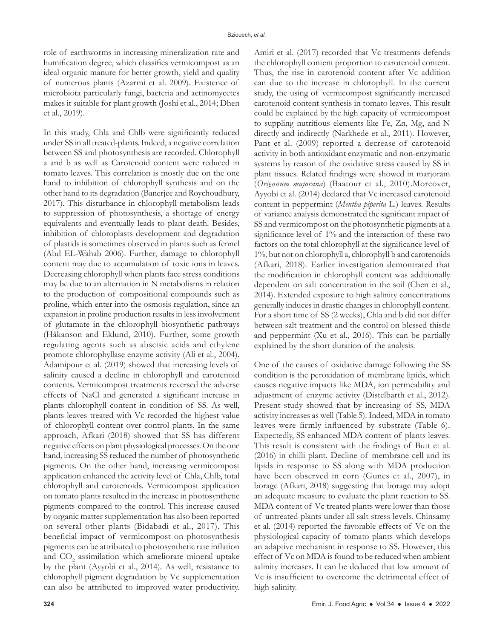role of earthworms in increasing mineralization rate and humification degree, which classifies vermicompost as an ideal organic manure for better growth, yield and quality of numerous plants (Azarmi et al. 2009). Existence of microbiota particularly fungi, bacteria and actinomycetes makes it suitable for plant growth (Joshi et al., 2014; Dhen et al., 2019).

In this study, Chla and Chlb were significantly reduced under SS in all treated-plants. Indeed, a negative correlation between SS and photosynthesis are recorded. Chlorophyll a and b as well as Carotenoid content were reduced in tomato leaves. This correlation is mostly due on the one hand to inhibition of chlorophyll synthesis and on the other hand to its degradation (Banerjee and Roychoudhury, 2017). This disturbance in chlorophyll metabolism leads to suppression of photosynthesis, a shortage of energy equivalents and eventually leads to plant death. Besides, inhibition of chloroplasts development and degradation of plastids is sometimes observed in plants such as fennel (Abd EL-Wahab 2006). Further, damage to chlorophyll content may due to accumulation of toxic ions in leaves. Decreasing chlorophyll when plants face stress conditions may be due to an alternation in N metabolisms in relation to the production of compositional compounds such as proline, which enter into the osmosis regulation, since an expansion in proline production results in less involvement of glutamate in the chlorophyll biosynthetic pathways (Håkanson and Eklund, 2010). Further, some growth regulating agents such as abscisic acids and ethylene promote chlorophyllase enzyme activity (Ali et al., 2004). Adamipour et al. (2019) showed that increasing levels of salinity caused a decline in chlorophyll and carotenoid contents. Vermicompost treatments reversed the adverse effects of NaCl and generated a significant increase in plants chlorophyll content in condition of SS. As well, plants leaves treated with Vc recorded the highest value of chlorophyll content over control plants. In the same approach, Afkari (2018) showed that SS has different negative effects on plant physiological processes. On the one hand, increasing SS reduced the number of photosynthetic pigments. On the other hand, increasing vermicompost application enhanced the activity level of Chla, Chlb, total chlorophyll and carotenoids. Vermicompost application on tomato plants resulted in the increase in photosynthetic pigments compared to the control. This increase caused by organic matter supplementation has also been reported on several other plants (Bidabadi et al., 2017). This beneficial impact of vermicompost on photosynthesis pigments can be attributed to photosynthetic rate inflation and  $CO<sub>2</sub>$  assimilation which ameliorate mineral uptake by the plant (Ayyobi et al., 2014). As well, resistance to chlorophyll pigment degradation by Vc supplementation can also be attributed to improved water productivity.

Amiri et al. (2017) recorded that Vc treatments defends the chlorophyll content proportion to carotenoid content. Thus, the rise in carotenoid content after Vc addition can due to the increase in chlorophyll. In the current study, the using of vermicompost significantly increased carotenoid content synthesis in tomato leaves. This result could be explained by the high capacity of vermicompost to suppling nutritious elements like Fe, Zn, Mg, and N directly and indirectly (Narkhede et al., 2011). However, Pant et al. (2009) reported a decrease of carotenoid activity in both antioxidant enzymatic and non-enzymatic systems by reason of the oxidative stress caused by SS in plant tissues. Related findings were showed in marjoram (*Origanum majorana*) (Baatour et al., 2010).Moreover, Ayyobi et al. (2014) declared that Vc increased carotenoid content in peppermint (*Mentha piperita* L.) leaves. Results of variance analysis demonstrated the significant impact of SS and vermicompost on the photosynthetic pigments at a significance level of 1% and the interaction of these two factors on the total chlorophyll at the significance level of 1%, but not on chlorophyll a, chlorophyll b and carotenoids (Afkari, 2018). Earlier investigation demontrated that the modification in chlorophyll content was additionally dependent on salt concentration in the soil (Chen et al., 2014). Extended exposure to high salinity concentrations generally induces in drastic changes in chlorophyll content. For a short time of SS (2 weeks), Chla and b did not differ between salt treatment and the control on blessed thistle and peppermint (Xu et al., 2016). This can be partially explained by the short duration of the analysis.

One of the causes of oxidative damage following the SS condition is the peroxidation of membrane lipids, which causes negative impacts like MDA, ion permeability and adjustment of enzyme activity (Distelbarth et al., 2012). Present study showed that by increasing of SS, MDA activity increases as well (Table 5). Indeed, MDA in tomato leaves were firmly influenced by substrate (Table 6). Expectedly, SS enhanced MDA content of plants leaves. This result is consistent with the findings of Butt et al. (2016) in chilli plant. Decline of membrane cell and its lipids in response to SS along with MDA production have been observed in corn (Gunes et al., 2007), in borage (Afkari, 2018) suggesting that borage may adopt an adequate measure to evaluate the plant reaction to SS. MDA content of Vc treated plants were lower than those of untreated plants under all salt stress levels. Chinsamy et al. (2014) reported the favorable effects of Vc on the physiological capacity of tomato plants which develops an adaptive mechanism in response to SS. However, this effect of Vc on MDA is found to be reduced when ambient salinity increases. It can be deduced that low amount of Vc is insufficient to overcome the detrimental effect of high salinity.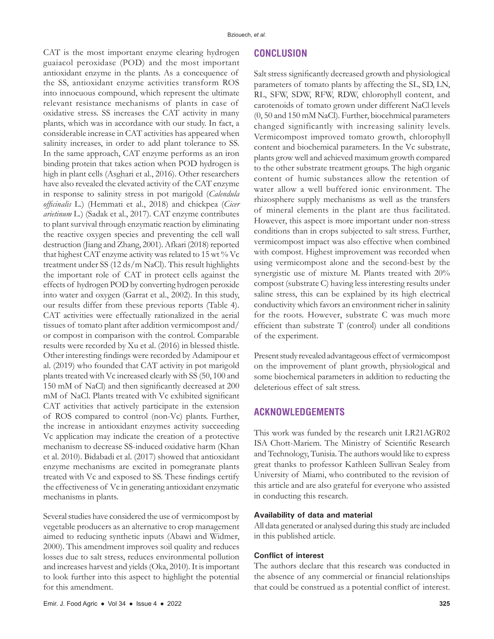CAT is the most important enzyme clearing hydrogen guaiacol peroxidase (POD) and the most important antioxidant enzyme in the plants. As a concequence of the SS, antioxidant enzyme activities transform ROS into innocuous compound, which represent the ultimate relevant resistance mechanisms of plants in case of oxidative stress. SS increases the CAT activity in many plants, which was in accordance with our study. In fact, a considerable increase in CAT activities has appeared when salinity increases, in order to add plant tolerance to SS. In the same approach, CAT enzyme performs as an iron binding protein that takes action when POD hydrogen is high in plant cells (Asghari et al., 2016). Other researchers have also revealed the elevated activity of the CAT enzyme in response to salinity stress in pot marigold (*Calendula officinalis* L.) (Hemmati et al., 2018) and chickpea (*Cicer arietinum* L.) (Sadak et al., 2017). CAT enzyme contributes to plant survival through enzymatic reaction by eliminating the reactive oxygen species and preventing the cell wall destruction (Jiang and Zhang, 2001). Afkari (2018) reported that highest CAT enzyme activity was related to 15 wt % Vc treatment under SS (12 ds/m NaCl). This result highlights the important role of CAT in protect cells against the effects of hydrogen POD by converting hydrogen peroxide into water and oxygen (Garrat et al., 2002). In this study, our results differ from these previous reports (Table 4). CAT activities were effectually rationalized in the aerial tissues of tomato plant after addition vermicompost and/ or compost in comparison with the control. Comparable results were recorded by Xu et al. (2016) in blessed thistle. Other interesting findings were recorded by Adamipour et al. (2019) who founded that CAT activity in pot marigold plants treated with Vc increased clearly with SS (50, 100 and 150 mM of NaCl) and then significantly decreased at 200 mM of NaCl. Plants treated with Vc exhibited significant CAT activities that actively participate in the extension of ROS compared to control (non-Vc) plants. Further, the increase in antioxidant enzymes activity succeeding Vc application may indicate the creation of a protective mechanism to decrease SS-induced oxidative harm (Khan et al. 2010). Bidabadi et al. (2017) showed that antioxidant enzyme mechanisms are excited in pomegranate plants treated with Vc and exposed to SS. These findings certify the effectiveness of Vc in generating antioxidant enzymatic mechanisms in plants.

Several studies have considered the use of vermicompost by vegetable producers as an alternative to crop management aimed to reducing synthetic inputs (Abawi and Widmer, 2000). This amendment improves soil quality and reduces losses due to salt stress, reduces environmental pollution and increases harvest and yields (Oka, 2010). It is important to look further into this aspect to highlight the potential for this amendment.

# **CONCLUSION**

Salt stress significantly decreased growth and physiological parameters of tomato plants by affecting the SL, SD, LN, RL, SFW, SDW, RFW, RDW, chlorophyll content, and carotenoids of tomato grown under different NaCl levels (0, 50 and 150 mM NaCl). Further, biocehmical parameters changed significantly with increasing salinity levels. Vermicompost improved tomato growth, chlorophyll content and biochemical parameters. In the Vc substrate, plants grow well and achieved maximum growth compared to the other substrate treatment groups. The high organic content of humic substances allow the retention of water allow a well buffered ionic environment. The rhizosphere supply mechanisms as well as the transfers of mineral elements in the plant are thus facilitated. However, this aspect is more important under non-stress conditions than in crops subjected to salt stress. Further, vermicompost impact was also effective when combined with compost. Highest improvement was recorded when using vermicompost alone and the second-best by the synergistic use of mixture M. Plants treated with 20% compost (substrate C) having less interesting results under saline stress, this can be explained by its high electrical conductivity which favors an environment richer in salinity for the roots. However, substrate C was much more efficient than substrate T (control) under all conditions of the experiment.

Present study revealed advantageous effect of vermicompost on the improvement of plant growth, physiological and some biochemical parameters in addition to reducting the deleterious effect of salt stress.

# **ACKNOWLEDGEMENTS**

This work was funded by the research unit LR21AGR02 ISA Chott-Mariem. The Ministry of Scientific Research and Technology, Tunisia. The authors would like to express great thanks to professor Kathleen Sullivan Sealey from University of Miami, who contributed to the revision of this article and are also grateful for everyone who assisted in conducting this research.

### **Availability of data and material**

All data generated or analysed during this study are included in this published article.

### **Conflict of interest**

The authors declare that this research was conducted in the absence of any commercial or financial relationships that could be construed as a potential conflict of interest.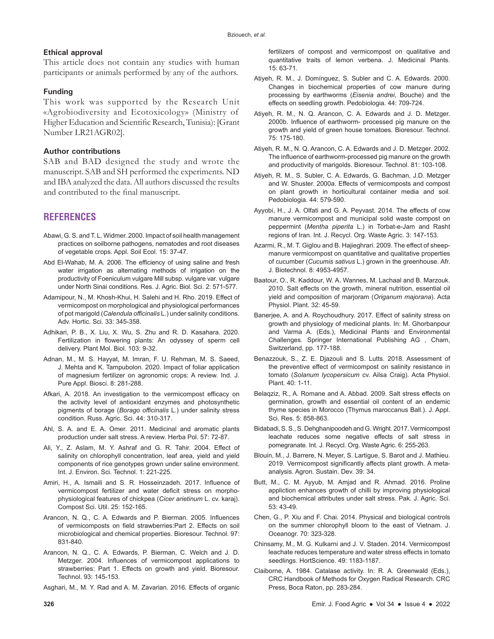# **Ethical approval**

This article does not contain any studies with human participants or animals performed by any of the authors.

# **Funding**

This work was supported by the Research Unit «Agrobiodiversity and Ecotoxicology» (Ministry of Higher Education and Scientific Research, Tunisia): [Grant Number LR21AGR02].

# **Author contributions**

SAB and BAD designed the study and wrote the manuscript. SAB and SH performed the experiments. ND and IBA analyzed the data. All authors discussed the results and contributed to the final manuscript.

# **REFERENCES**

- Abawi, G. S. and T. L. Widmer. 2000. Impact of soil health management practices on soilborne pathogens, nematodes and root diseases of vegetable crops. Appl. Soil Ecol. 15: 37-47.
- Abd El-Wahab, M. A. 2006. The efficiency of using saline and fresh water irrigation as alternating methods of irrigation on the productivity of Foeniculum vulgare Mill subsp. vulgare var. vulgare under North Sinai conditions. Res. J. Agric. Biol. Sci. 2: 571-577.
- Adamipour, N., M. Khosh-Khui, H. Salehi and H. Rho. 2019. Effect of vermicompost on morphological and physiological performances of pot marigold (*Calendula officinalis* L.) under salinity conditions. Adv. Hortic. Sci. 33: 345-358.
- Adhikari, P. B., X. Liu, X. Wu, S. Zhu and R. D. Kasahara. 2020. Fertilization in flowering plants: An odyssey of sperm cell delivery. Plant Mol. Biol. 103: 9-32.
- Adnan, M., M. S. Hayyat, M. Imran, F. U. Rehman, M. S. Saeed, J. Mehta and K. Tampubolon. 2020. Impact of foliar application of magnesium fertilizer on agronomic crops: A review. Ind. J. Pure Appl. Biosci. 8: 281-288.
- Afkari, A. 2018. An investigation to the vermicompost efficacy on the activity level of antioxidant enzymes and photosynthetic pigments of borage (*Borago officinalis* L.) under salinity stress condition. Russ. Agric. Sci. 44: 310-317.
- Ahl, S. A. and E. A. Omer. 2011. Medicinal and aromatic plants production under salt stress. A review. Herba Pol. 57: 72-87.
- Ali, Y., Z. Aslam, M. Y. Ashraf and G. R. Tahir. 2004. Effect of salinity on chlorophyll concentration, leaf area, yield and yield components of rice genotypes grown under saline environment. Int. J. Environ. Sci. Technol. 1: 221-225.
- Amiri, H., A. Ismaili and S. R. Hosseinzadeh. 2017. Influence of vermicompost fertilizer and water deficit stress on morphophysiological features of chickpea (*Cicer arietinum* L. cv. karaj). Compost Sci. Util. 25: 152-165.
- Arancon, N. Q., C. A. Edwards and P. Bierman. 2005. Influences of vermicomposts on field strawberries:Part 2. Effects on soil microbiological and chemical properties. Bioresour. Technol. 97: 831-840.
- Arancon, N. Q., C. A. Edwards, P. Bierman, C. Welch and J. D. Metzger. 2004. Influences of vermicompost applications to strawberries: Part 1. Effects on growth and yield. Bioresour. Technol. 93: 145-153.

Asghari, M., M. Y. Rad and A. M. Zavarian. 2016. Effects of organic

fertilizers of compost and vermicompost on qualitative and quantitative traits of lemon verbena. J. Medicinal Plants. 15: 63-71.

- Atiyeh, R. M., J. Domínguez, S. Subler and C. A. Edwards. 2000. Changes in biochemical properties of cow manure during processing by earthworms (*Eisenia andrei*, Bouche) and the effects on seedling growth. Pedobiologia. 44: 709-724.
- Atiyeh, R. M., N. Q. Arancon, C. A. Edwards and J. D. Metzger. 2000b. Influence of earthworm- processed pig manure on the growth and yield of green house tomatoes. Bioresour. Technol. 75: 175-180.
- Atiyeh, R. M., N. Q. Arancon, C. A. Edwards and J. D. Metzger. 2002. The influence of earthworm-processed pig manure on the growth and productivity of marigolds. Bioresour. Technol. 81: 103-108.
- Atiyeh, R. M., S. Subler, C. A. Edwards, G. Bachman, J.D. Metzger and W. Shuster. 2000a. Effects of vermicomposts and compost on plant growth in horticultural container media and soil. Pedobiologia. 44: 579-590.
- Ayyobi, H., J. A. Olfati and G. A. Peyvast. 2014. The effects of cow manure vermicompost and municipal solid waste compost on peppermint (*Mentha piperita* L.) in Torbat-e-Jam and Rasht regions of Iran. Int. J. Recycl. Org. Waste Agric. 3: 147-153.
- Azarmi, R., M. T. Giglou and B. Hajieghrari. 2009. The effect of sheepmanure vermicompost on quantitative and qualitative properties of cucumber (*Cucumis sativus* L.) grown in the greenhouse. Afr. J. Biotechnol. 8: 4953-4957.
- Baatour, O., R. Kaddour, W. A. Wannes, M. Lachaal and B. Marzouk. 2010. Salt effects on the growth, mineral nutrition, essential oil yield and composition of marjoram (*Origanum majorana*). Acta Physiol. Plant. 32: 45-59.
- Banerjee, A. and A. Roychoudhury. 2017. Effect of salinity stress on growth and physiology of medicinal plants. In: M. Ghorbanpour and Varma A. (Eds.), Medicinal Plants and Environmental Challenges. Springer International Publishing AG , Cham, Switzerland, pp. 177-188.
- Benazzouk, S., Z. E. Djazouli and S. Lutts. 2018. Assessment of the preventive effect of vermicompost on salinity resistance in tomato (*Solanum lycopersicum* cv. Ailsa Craig). Acta Physiol. Plant. 40: 1-11.
- Belaqziz, R., A. Romane and A. Abbad. 2009. Salt stress effects on germination, growth and essential oil content of an endemic thyme species in Morocco (Thymus maroccanus Ball.). J. Appl. Sci. Res. 5: 858-863.
- Bidabadi, S. S., S. Dehghanipoodeh and G. Wright. 2017. Vermicompost leachate reduces some negative effects of salt stress in pomegranate. Int. J. Recycl. Org. Waste Agric. 6: 255-263.
- Blouin, M., J. Barrere, N. Meyer, S. Lartigue, S. Barot and J. Mathieu. 2019. Vermicompost significantly affects plant growth. A metaanalysis. Agron. Sustain. Dev. 39: 34.
- Butt, M., C. M. Ayyub, M. Amjad and R. Ahmad. 2016. Proline appliction enhances growth of chilli by improving physiological and biochemical attributes under salt stress. Pak. J. Agric. Sci. 53: 43-49.
- Chen, G., P. Xiu and F. Chai. 2014. Physical and biological controls on the summer chlorophyll bloom to the east of Vietnam. J. Oceanogr. 70: 323-328.
- Chinsamy, M., M. G. Kulkarni and J. V. Staden. 2014. Vermicompost leachate reduces temperature and water stress effects in tomato seedlings. HortScience. 49: 1183-1187.
- Claiborne, A. 1984. Catalase activity. In: R. A. Greenwald (Eds.), CRC Handbook of Methods for Oxygen Radical Research. CRC Press, Boca Raton, pp. 283-284.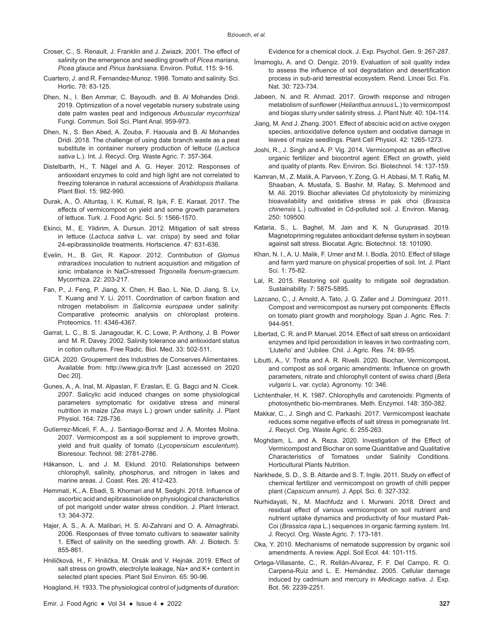- Croser, C., S. Renault, J. Franklin and J. Zwiazk. 2001. The effect of salinity on the emergence and seedling growth of *Picea mariana*, *Picea glauca* and *Pinus banksiana*. Environ. Pollut. 115: 9-16.
- Cuartero, J. and R. Fernandez-Munoz. 1998. Tomato and salinity. Sci. Hortic. 78: 83-125.
- Dhen, N., I. Ben Ammar, C. Bayoudh. and B. Al Mohandes Dridi. 2019. Optimization of a novel vegetable nursery substrate using date palm wastes peat and indigenous *Arbuscular mycorrhizal* Fungi. Commun. Soil Sci. Plant Anal. 959-973.
- Dhen, N., S. Ben Abed, A. Zouba, F. Haouala and B. Al Mohandes Dridi. 2018. The challenge of using date branch waste as a peat substitute in container nursery production of lettuce (*Lactuca sativa* L.). Int. J. Recycl. Org. Waste Agric. 7: 357-364.
- Distelbarth, H., T. Nägel and A. G. Heyer. 2012. Responses of antioxidant enzymes to cold and high light are not correlated to freezing tolerance in natural accessions of *Arabidopsis thaliana*. Plant Biol. 15: 982-990.
- Durak, A., Ö. Altuntaş, I. K. Kutsal, R. Işık, F. E. Karaat. 2017. The effects of vermicompost on yield and some growth parameters of lettuce. Turk. J. Food Agric. Sci. 5: 1566-1570.
- Ekinci, M., E. Yildirim, A. Dursun. 2012. Mitigation of salt stress in lettuce (*Lactuca sativa* L. var. *crispa*) by seed and foliar 24-epibrassinolide treatments. Hortscience. 47: 631-636.
- Evelin, H., B. Giri, R. Kapoor. 2012. Contribution of *Glomus intraradices* inoculation to nutrient acquisition and mitigation of ionic imbalance in NaCl-stressed *Trigonella foenum-graecum*. Mycorrhiza. 22: 203-217.
- Fan, P., J. Feng, P. Jiang, X. Chen, H. Bao, L. Nie, D. Jiang, S. Lv, T. Kuang and Y. Li. 2011. Coordination of carbon fixation and nitrogen metabolism in *Salicornia europaea* under salinity: Comparative proteomic analysis on chloroplast proteins. Proteomics. 11: 4346-4367.
- Garrat, L. C., B. S. Janagoudar, K. C. Lowe, P. Anthony, J. B. Power and M. R. Davey. 2002. Salinity tolerance and antioxidant status in cotton cultures. Free Radic. Biol. Med. 33: 502-511.
- GICA. 2020. Groupement des Industries de Conserves Alimentaires. Available from: http://www.gica.tn/fr [Last accessed on 2020 Dec 20].
- Gunes, A., A. Inal, M. Alpaslan, F. Eraslan, E. G. Bagci and N. Cicek. 2007. Salicylic acid induced changes on some physiological parameters symptomatic for oxidative stress and mineral nutrition in maize (*Zea mays* L.) grown under salinity. J. Plant Physiol. 164: 728-736.
- Gutíerrez-Miceli, F. A., J. Santiago-Borraz and J. A. Montes Molina. 2007. Vermicompost as a soil supplement to improve growth, yield and fruit quality of tomato (*Lycopersicum esculentum*). Bioresour. Technol. 98: 2781-2786.
- Håkanson, L. and J. M. Eklund. 2010. Relationships between chlorophyll, salinity, phosphorus, and nitrogen in lakes and marine areas. J. Coast. Res. 26: 412-423.
- Hemmati, K., A. Ebadi, S. Khomari and M. Sedghi. 2018. Influence of ascorbic acid and epibrassinolide on physiological characteristics of pot marigold under water stress condition. J. Plant Interact. 13: 364-372.
- Hajer, A. S., A. A. Malibari, H. S. Al-Zahrani and O. A. Almaghrabi. 2006. Responses of three tomato cultivars to seawater salinity 1. Effect of salinity on the seedling growth. Afr. J. Biotech. 5: 855-861.
- Hniličková, H., F. Hnilička, M. Orsák and V. Hejnák. 2019. Effect of salt stress on growth, electrolyte leakage, Na+ and K+ content in selected plant species. Plant Soil Environ. 65: 90-96.
- Hoagland, H. 1933. The physiological control of judgments of duration:

Evidence for a chemical clock. J. Exp. Psychol. Gen. 9: 267-287.

- İmamoglu, A. and O. Dengiz. 2019. Evaluation of soil quality index to assess the influence of soil degradation and desertification process in sub-arid terrestrial ecosystem. Rend. Lincei Sci. Fis. Nat. 30: 723-734.
- Jabeen, N. and R. Ahmad. 2017. Growth response and nitrogen metabolism of sunflower (*Helianthus annuus* L.) to vermicompost and biogas slurry under salinity stress. J. Plant Nutr. 40: 104-114.
- Jiang, M. And J. Zhang. 2001. Effect of abscisic acid on active oxygen species, antioxidative defence system and oxidative damage in leaves of maize seedlings. Plant Cell Physiol. 42: 1265-1273.
- Joshi, R., J. Singh and A. P. Vig. 2014. Vermicompost as an effective organic fertilizer and biocontrol agent: Effect on growth, yield and quality of plants. Rev. Environ. Sci. Biotechnol. 14: 137-159.
- Kamran, M., Z. Malik, A. Parveen, Y. Zong, G. H. Abbasi, M. T. Rafiq, M. Shaaban, A. Mustafa, S. Bashir, M. Rafay, S. Mehmood and M. Ali. 2019. Biochar alleviates Cd phytotoxicity by minimizing bioavailability and oxidative stress in pak choi (*Brassica chinensis* L.) cultivated in Cd-polluted soil. J. Environ. Manag. 250: 109500.
- Kataria, S., L. Baghel, M. Jain and K. N. Guruprasad. 2019. Magnetopriming regulates antioxidant defense system in soybean against salt stress. Biocatal. Agric. Biotechnol. 18: 101090.
- Khan, N. I., A. U. Malik, F. Umer and M. I. Bodla. 2010. Effect of tillage and farm yard manure on physical properties of soil. Int. J. Plant Sci. 1: 75-82.
- Lal, R. 2015. Restoring soil quality to mitigate soil degradation. Sustainability. 7: 5875-5895.
- Lazcano, C., J. Arnold, A. Tato, J. G. Zaller and J. Domínguez. 2011. Compost and vermicompost as nursery pot components: Effects on tomato plant growth and morphology. Span J. Agric. Res. 7: 944-951.
- Libertad, C. R. and P. Manuel. 2014. Effect of salt stress on antioxidant enzymes and lipid peroxidation in leaves in two contrasting corn, 'Lluteño' and 'Jubilee. Chil. J. Agric. Res. 74: 89-95.
- Libutti, A., V. Trotta and A. R. Rivelli. 2020. Biochar, Vermicompost, and compost as soil organic amendments: Influence on growth parameters, nitrate and chlorophyll content of swiss chard (*Beta vulgaris* L. var. cycla). Agronomy. 10: 346.
- Lichtenthaler, H. K. 1987. Chlorophylls and carotenoids: Pigments of photosynthetic bio-membranes. Meth. Enzymol. 148: 350-382.
- Makkar, C., J. Singh and C. Parkashi. 2017. Vermicompost leachate reduces some negative effects of salt stress in pomegranate Int. J. Recycl. Org. Waste Agric. 6: 255-263.
- Moghdam, L. and A. Reza. 2020. Investigation of the Effect of Vermicompost and Biochar on some Quantitative and Qualitative Characteristics of Tomatoes under Salinity Conditions. Horticultural Plants Nutrition.
- Narkhede, S. D., S. B. Attarde and S. T. Ingle. 2011. Study on effect of chemical fertilizer and vermicompost on growth of chilli pepper plant (*Capsicum annum*). J. Appl. Sci. 6: 327-332.
- Nurhidayati, N., M. Machfudz and I. Murwani. 2018. Direct and residual effect of various vermicompost on soil nutrient and nutrient uptake dynamics and productivity of four mustard Pak-Coi (*Brassica rapa* L.) sequences in organic farming system. Int. J. Recycl. Org. Waste Agric. 7: 173-181.
- Oka, Y. 2010. Mechanisms of nematode suppression by organic soil amendments. A review. Appl. Soil Ecol. 44: 101-115.
- Ortega-Villasante, C., R. Rellán-Alvarez, F. F. Del Campo, R. O. Carpena-Ruiz and L. E. Hernández. 2005. Cellular damage induced by cadmium and mercury in *Medicago sativa*. J. Exp. Bot. 56: 2239-2251.